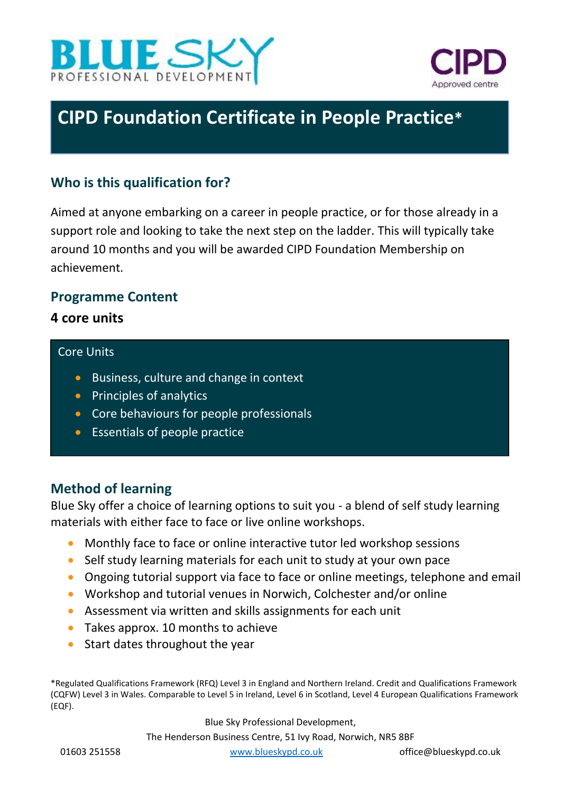



# **CIPD Foundation Certificate in People Practice\***

# **Who is this qualification for?**

Aimed at anyone embarking on a career in people practice, or for those already in a support role and looking to take the next step on the ladder. This will typically take around 10 months and you will be awarded CIPD Foundation Membership on achievement.

### **Programme Content**

**4 core units** 

#### Core Units

- Business, culture and change in context
- Principles of analytics
- Core behaviours for people professionals
- Essentials of people practice

## **Method of learning**

Blue Sky offer a choice of learning options to suit you - a blend of self study learning materials with either face to face or live online workshops.

- Monthly face to face or online interactive tutor led workshop sessions
- Self study learning materials for each unit to study at your own pace
- Ongoing tutorial support via face to face or online meetings, telephone and email
- Workshop and tutorial venues in Norwich, Colchester and/or online
- Assessment via written and skills assignments for each unit
- Takes approx. 10 months to achieve
- Start dates throughout the year

\*Regulated Qualifications Framework (RFQ) Level 3 in England and Northern Ireland. Credit and Qualifications Framework (CQFW) Level 3 in Wales. Comparable to Level 5 in Ireland, Level 6 in Scotland, Level 4 European Qualifications Framework (EQF).

Blue Sky Professional Development,

The Henderson Business Centre, 51 Ivy Road, Norwich, NR5 8BF